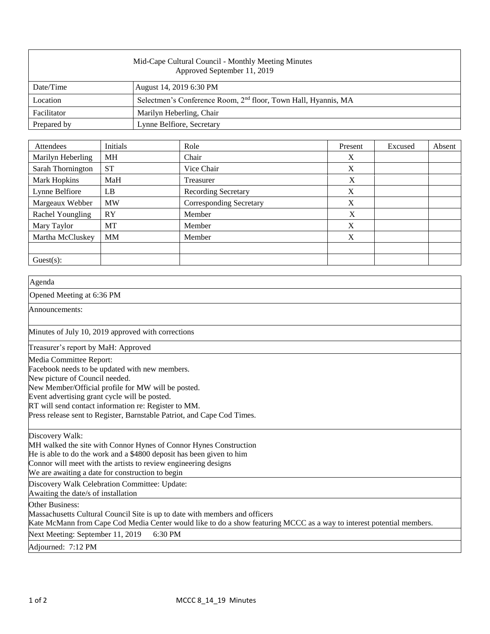| Mid-Cape Cultural Council - Monthly Meeting Minutes<br>Approved September 11, 2019 |                                                                            |  |  |  |
|------------------------------------------------------------------------------------|----------------------------------------------------------------------------|--|--|--|
| Date/Time                                                                          | August 14, 2019 6:30 PM                                                    |  |  |  |
| Location                                                                           | Selectmen's Conference Room, 2 <sup>nd</sup> floor, Town Hall, Hyannis, MA |  |  |  |
| Facilitator                                                                        | Marilyn Heberling, Chair                                                   |  |  |  |
| Prepared by                                                                        | Lynne Belfiore, Secretary                                                  |  |  |  |

| Attendees         | Initials  | Role                           | Present | Excused | Absent |
|-------------------|-----------|--------------------------------|---------|---------|--------|
| Marilyn Heberling | <b>MH</b> | Chair                          | X       |         |        |
| Sarah Thornington | <b>ST</b> | Vice Chair                     | X       |         |        |
| Mark Hopkins      | MaH       | Treasurer                      | X       |         |        |
| Lynne Belfiore    | LB        | <b>Recording Secretary</b>     | X       |         |        |
| Margeaux Webber   | <b>MW</b> | <b>Corresponding Secretary</b> | X       |         |        |
| Rachel Youngling  | RY        | Member                         | X       |         |        |
| Mary Taylor       | MT        | Member                         | X       |         |        |
| Martha McCluskey  | <b>MM</b> | Member                         | X       |         |        |
|                   |           |                                |         |         |        |
| $Guest(s)$ :      |           |                                |         |         |        |

| Agenda                                                                                                                                                                                                                                                                                                                                                |
|-------------------------------------------------------------------------------------------------------------------------------------------------------------------------------------------------------------------------------------------------------------------------------------------------------------------------------------------------------|
| Opened Meeting at 6:36 PM                                                                                                                                                                                                                                                                                                                             |
| Announcements:                                                                                                                                                                                                                                                                                                                                        |
| Minutes of July 10, 2019 approved with corrections                                                                                                                                                                                                                                                                                                    |
| Treasurer's report by MaH: Approved                                                                                                                                                                                                                                                                                                                   |
| Media Committee Report:<br>Facebook needs to be updated with new members.<br>New picture of Council needed.<br>New Member/Official profile for MW will be posted.<br>Event advertising grant cycle will be posted.<br>RT will send contact information re: Register to MM.<br>Press release sent to Register, Barnstable Patriot, and Cape Cod Times. |
| Discovery Walk:<br>MH walked the site with Connor Hynes of Connor Hynes Construction<br>He is able to do the work and a \$4800 deposit has been given to him<br>Connor will meet with the artists to review engineering designs<br>We are awaiting a date for construction to begin                                                                   |
| Discovery Walk Celebration Committee: Update:<br>Awaiting the date/s of installation                                                                                                                                                                                                                                                                  |
| Other Business:<br>Massachusetts Cultural Council Site is up to date with members and officers<br>Kate McMann from Cape Cod Media Center would like to do a show featuring MCCC as a way to interest potential members.                                                                                                                               |
| Next Meeting: September 11, 2019<br>6:30 PM                                                                                                                                                                                                                                                                                                           |
| Adjourned: 7:12 PM                                                                                                                                                                                                                                                                                                                                    |